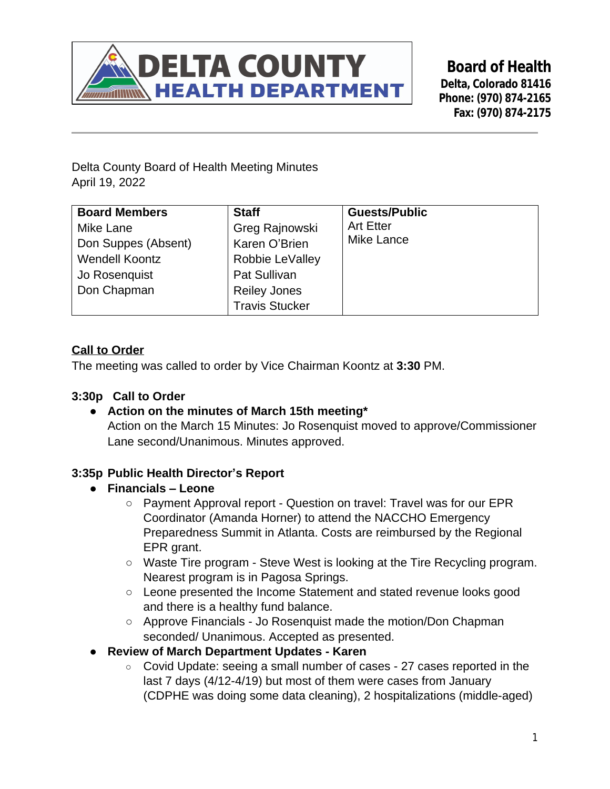

**Board of Health Delta, Colorado 81416 Phone: (970) 874-2165 Fax: (970) 874-2175**

Delta County Board of Health Meeting Minutes April 19, 2022

| <b>Board Members</b>  | <b>Staff</b>          | <b>Guests/Public</b> |
|-----------------------|-----------------------|----------------------|
| Mike Lane             | Greg Rajnowski        | <b>Art Etter</b>     |
| Don Suppes (Absent)   | Karen O'Brien         | <b>Mike Lance</b>    |
| <b>Wendell Koontz</b> | Robbie LeValley       |                      |
| Jo Rosenquist         | Pat Sullivan          |                      |
| Don Chapman           | <b>Reiley Jones</b>   |                      |
|                       | <b>Travis Stucker</b> |                      |

# **Call to Order**

The meeting was called to order by Vice Chairman Koontz at **3:30** PM.

### **3:30p Call to Order**

**● Action on the minutes of March 15th meeting\*** Action on the March 15 Minutes: Jo Rosenquist moved to approve/Commissioner Lane second/Unanimous. Minutes approved.

### **3:35p Public Health Director's Report**

- **● Financials – Leone**
	- Payment Approval report Question on travel: Travel was for our EPR Coordinator (Amanda Horner) to attend the NACCHO Emergency Preparedness Summit in Atlanta. Costs are reimbursed by the Regional EPR grant.
	- Waste Tire program Steve West is looking at the Tire Recycling program. Nearest program is in Pagosa Springs.
	- Leone presented the Income Statement and stated revenue looks good and there is a healthy fund balance.
	- Approve Financials Jo Rosenquist made the motion/Don Chapman seconded/ Unanimous. Accepted as presented.
- **● Review of March Department Updates Karen**
	- Covid Update: seeing a small number of cases 27 cases reported in the last 7 days (4/12-4/19) but most of them were cases from January (CDPHE was doing some data cleaning), 2 hospitalizations (middle-aged)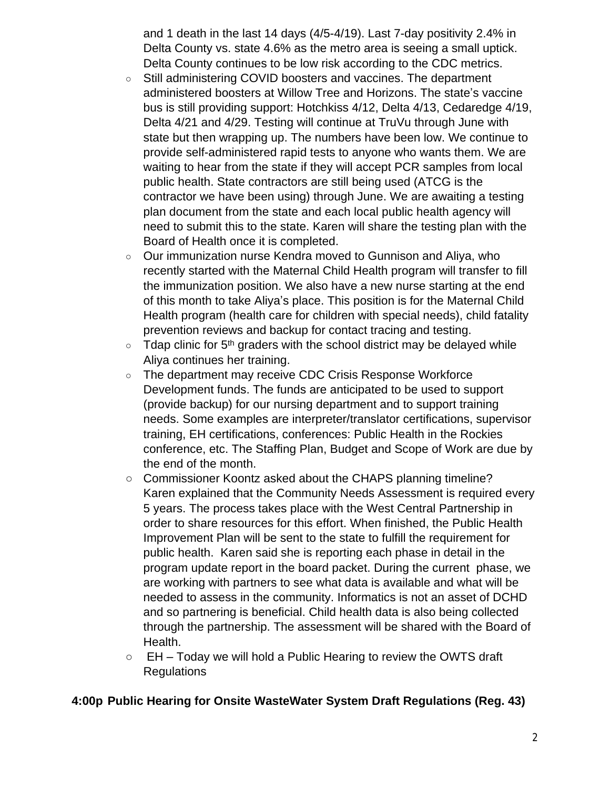and 1 death in the last 14 days (4/5-4/19). Last 7-day positivity 2.4% in Delta County vs. state 4.6% as the metro area is seeing a small uptick. Delta County continues to be low risk according to the CDC metrics.

- Still administering COVID boosters and vaccines. The department administered boosters at Willow Tree and Horizons. The state's vaccine bus is still providing support: Hotchkiss 4/12, Delta 4/13, Cedaredge 4/19, Delta 4/21 and 4/29. Testing will continue at TruVu through June with state but then wrapping up. The numbers have been low. We continue to provide self-administered rapid tests to anyone who wants them. We are waiting to hear from the state if they will accept PCR samples from local public health. State contractors are still being used (ATCG is the contractor we have been using) through June. We are awaiting a testing plan document from the state and each local public health agency will need to submit this to the state. Karen will share the testing plan with the Board of Health once it is completed.
- Our immunization nurse Kendra moved to Gunnison and Aliya, who recently started with the Maternal Child Health program will transfer to fill the immunization position. We also have a new nurse starting at the end of this month to take Aliya's place. This position is for the Maternal Child Health program (health care for children with special needs), child fatality prevention reviews and backup for contact tracing and testing.
- $\circ$  Tdap clinic for 5<sup>th</sup> graders with the school district may be delayed while Aliya continues her training.
- The department may receive CDC Crisis Response Workforce Development funds. The funds are anticipated to be used to support (provide backup) for our nursing department and to support training needs. Some examples are interpreter/translator certifications, supervisor training, EH certifications, conferences: Public Health in the Rockies conference, etc. The Staffing Plan, Budget and Scope of Work are due by the end of the month.
- Commissioner Koontz asked about the CHAPS planning timeline? Karen explained that the Community Needs Assessment is required every 5 years. The process takes place with the West Central Partnership in order to share resources for this effort. When finished, the Public Health Improvement Plan will be sent to the state to fulfill the requirement for public health. Karen said she is reporting each phase in detail in the program update report in the board packet. During the current phase, we are working with partners to see what data is available and what will be needed to assess in the community. Informatics is not an asset of DCHD and so partnering is beneficial. Child health data is also being collected through the partnership. The assessment will be shared with the Board of Health.
- $\circ$  EH Today we will hold a Public Hearing to review the OWTS draft **Regulations**

### **4:00p Public Hearing for Onsite WasteWater System Draft Regulations (Reg. 43)**